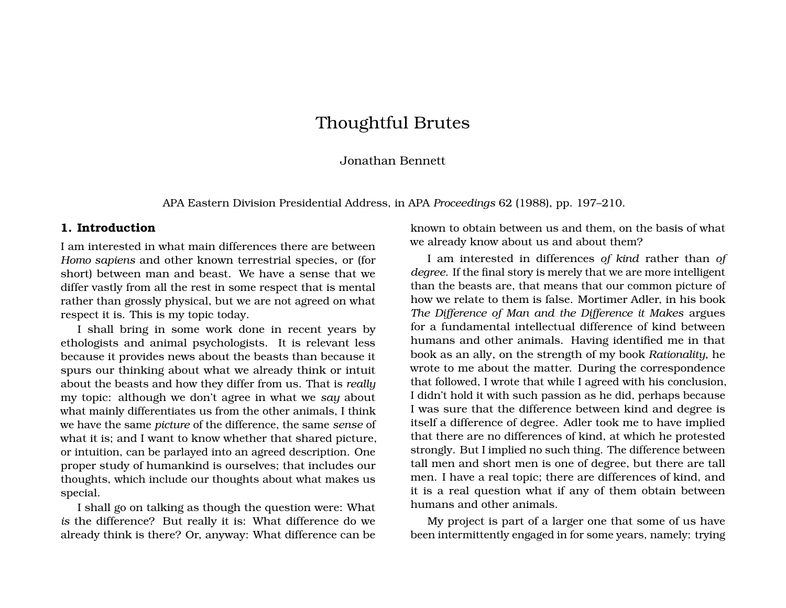# Thoughtful Brutes

#### Jonathan Bennett

APA Eastern Division Presidential Address, in APA *Proceedings* 62 (1988), pp. 197–210.

### **1. Introduction**

I am interested in what main differences there are between *Homo sapiens* and other known terrestrial species, or (for short) between man and beast. We have a sense that we differ vastly from all the rest in some respect that is mental rather than grossly physical, but we are not agreed on what respect it is. This is my topic today.

I shall bring in some work done in recent years by ethologists and animal psychologists. It is relevant less because it provides news about the beasts than because it spurs our thinking about what we already think or intuit about the beasts and how they differ from us. That is *really* my topic: although we don't agree in what we *say* about what mainly differentiates us from the other animals, I think we have the same *picture* of the difference, the same *sense* of what it is; and I want to know whether that shared picture, or intuition, can be parlayed into an agreed description. One proper study of humankind is ourselves; that includes our thoughts, which include our thoughts about what makes us special.

I shall go on talking as though the question were: What *is* the difference? But really it is: What difference do we already think is there? Or, anyway: What difference can be

known to obtain between us and them, on the basis of what we already know about us and about them?

I am interested in differences *of kind* rather than *of degree*. If the final story is merely that we are more intelligent than the beasts are, that means that our common picture of how we relate to them is false. Mortimer Adler, in his book *The Difference of Man and the Difference it Makes* argues for a fundamental intellectual difference of kind between humans and other animals. Having identified me in that book as an ally, on the strength of my book *Rationality*, he wrote to me about the matter. During the correspondence that followed, I wrote that while I agreed with his conclusion, I didn't hold it with such passion as he did, perhaps because I was sure that the difference between kind and degree is itself a difference of degree. Adler took me to have implied that there are no differences of kind, at which he protested strongly. But I implied no such thing. The difference between tall men and short men is one of degree, but there are tall men. I have a real topic; there are differences of kind, and it is a real question what if any of them obtain between humans and other animals.

My project is part of a larger one that some of us have been intermittently engaged in for some years, namely: trying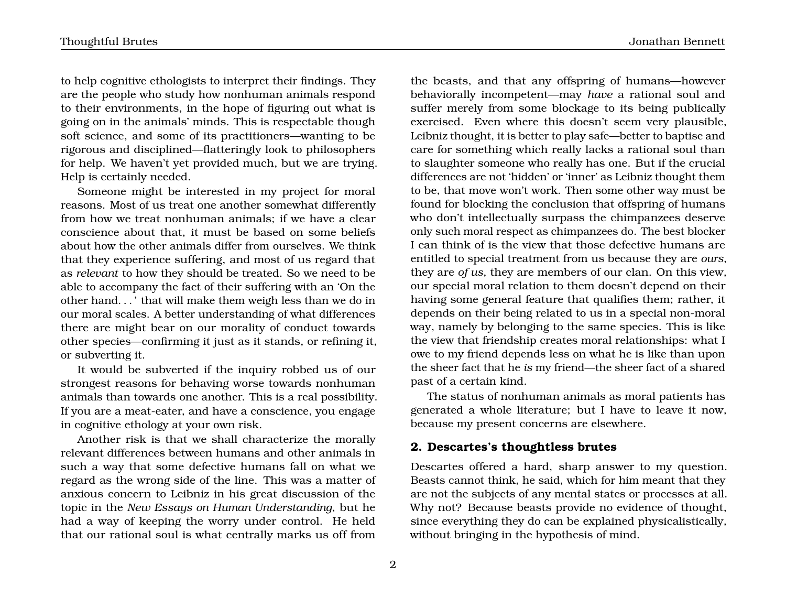to help cognitive ethologists to interpret their findings. They are the people who study how nonhuman animals respond to their environments, in the hope of figuring out what is going on in the animals' minds. This is respectable though soft science, and some of its practitioners—wanting to be rigorous and disciplined—flatteringly look to philosophers for help. We haven't yet provided much, but we are trying. Help is certainly needed.

Someone might be interested in my project for moral reasons. Most of us treat one another somewhat differently from how we treat nonhuman animals; if we have a clear conscience about that, it must be based on some beliefs about how the other animals differ from ourselves. We think that they experience suffering, and most of us regard that as *relevant* to how they should be treated. So we need to be able to accompany the fact of their suffering with an 'On the other hand. . . ' that will make them weigh less than we do in our moral scales. A better understanding of what differences there are might bear on our morality of conduct towards other species—confirming it just as it stands, or refining it, or subverting it.

It would be subverted if the inquiry robbed us of our strongest reasons for behaving worse towards nonhuman animals than towards one another. This is a real possibility. If you are a meat-eater, and have a conscience, you engage in cognitive ethology at your own risk.

Another risk is that we shall characterize the morally relevant differences between humans and other animals in such a way that some defective humans fall on what we regard as the wrong side of the line. This was a matter of anxious concern to Leibniz in his great discussion of the topic in the *New Essays on Human Understanding*, but he had a way of keeping the worry under control. He held that our rational soul is what centrally marks us off from

the beasts, and that any offspring of humans—however behaviorally incompetent—may *have* a rational soul and suffer merely from some blockage to its being publically exercised. Even where this doesn't seem very plausible, Leibniz thought, it is better to play safe—better to baptise and care for something which really lacks a rational soul than to slaughter someone who really has one. But if the crucial differences are not 'hidden' or 'inner' as Leibniz thought them to be, that move won't work. Then some other way must be found for blocking the conclusion that offspring of humans who don't intellectually surpass the chimpanzees deserve only such moral respect as chimpanzees do. The best blocker I can think of is the view that those defective humans are entitled to special treatment from us because they are *ours*, they are *of us*, they are members of our clan. On this view, our special moral relation to them doesn't depend on their having some general feature that qualifies them; rather, it depends on their being related to us in a special non-moral way, namely by belonging to the same species. This is like the view that friendship creates moral relationships: what I owe to my friend depends less on what he is like than upon the sheer fact that he *is* my friend—the sheer fact of a shared past of a certain kind.

The status of nonhuman animals as moral patients has generated a whole literature; but I have to leave it now, because my present concerns are elsewhere.

## **2. Descartes's thoughtless brutes**

Descartes offered a hard, sharp answer to my question. Beasts cannot think, he said, which for him meant that they are not the subjects of any mental states or processes at all. Why not? Because beasts provide no evidence of thought, since everything they do can be explained physicalistically, without bringing in the hypothesis of mind.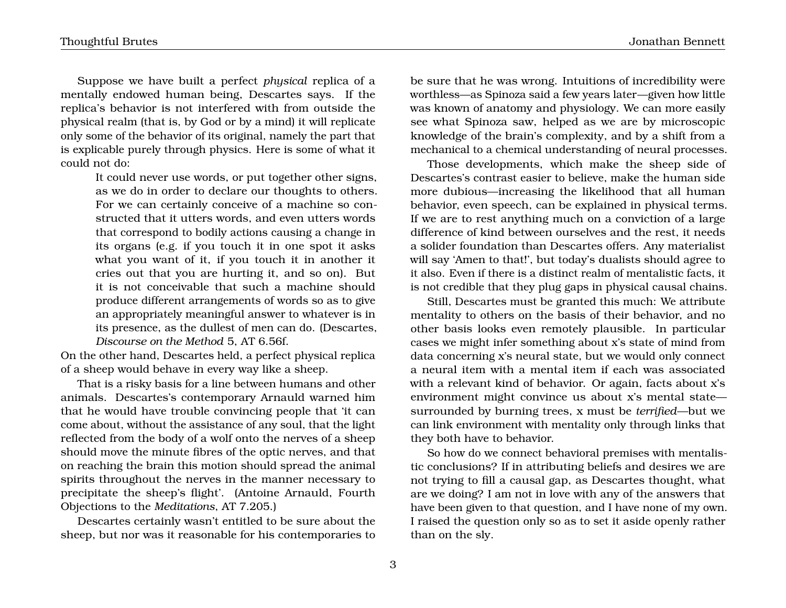Suppose we have built a perfect *physical* replica of a mentally endowed human being, Descartes says. If the replica's behavior is not interfered with from outside the physical realm (that is, by God or by a mind) it will replicate only some of the behavior of its original, namely the part that is explicable purely through physics. Here is some of what it could not do:

> It could never use words, or put together other signs, as we do in order to declare our thoughts to others. For we can certainly conceive of a machine so constructed that it utters words, and even utters words that correspond to bodily actions causing a change in its organs (e.g. if you touch it in one spot it asks what you want of it, if you touch it in another it cries out that you are hurting it, and so on). But it is not conceivable that such a machine should produce different arrangements of words so as to give an appropriately meaningful answer to whatever is in its presence, as the dullest of men can do. (Descartes, *Discourse on the Method* 5, AT 6.56f.

On the other hand, Descartes held, a perfect physical replica of a sheep would behave in every way like a sheep.

That is a risky basis for a line between humans and other animals. Descartes's contemporary Arnauld warned him that he would have trouble convincing people that 'it can come about, without the assistance of any soul, that the light reflected from the body of a wolf onto the nerves of a sheep should move the minute fibres of the optic nerves, and that on reaching the brain this motion should spread the animal spirits throughout the nerves in the manner necessary to precipitate the sheep's flight'. (Antoine Arnauld, Fourth Objections to the *Meditations*, AT 7.205.)

Descartes certainly wasn't entitled to be sure about the sheep, but nor was it reasonable for his contemporaries to

be sure that he was wrong. Intuitions of incredibility were worthless—as Spinoza said a few years later—given how little was known of anatomy and physiology. We can more easily see what Spinoza saw, helped as we are by microscopic knowledge of the brain's complexity, and by a shift from a

Those developments, which make the sheep side of Descartes's contrast easier to believe, make the human side more dubious—increasing the likelihood that all human behavior, even speech, can be explained in physical terms. If we are to rest anything much on a conviction of a large difference of kind between ourselves and the rest, it needs a solider foundation than Descartes offers. Any materialist will say 'Amen to that!', but today's dualists should agree to it also. Even if there is a distinct realm of mentalistic facts, it is not credible that they plug gaps in physical causal chains.

mechanical to a chemical understanding of neural processes.

Still, Descartes must be granted this much: We attribute mentality to others on the basis of their behavior, and no other basis looks even remotely plausible. In particular cases we might infer something about x's state of mind from data concerning x's neural state, but we would only connect a neural item with a mental item if each was associated with a relevant kind of behavior. Or again, facts about x's environment might convince us about x's mental state surrounded by burning trees, x must be *terrified*—but we can link environment with mentality only through links that they both have to behavior.

So how do we connect behavioral premises with mentalistic conclusions? If in attributing beliefs and desires we are not trying to fill a causal gap, as Descartes thought, what are we doing? I am not in love with any of the answers that have been given to that question, and I have none of my own. I raised the question only so as to set it aside openly rather than on the sly.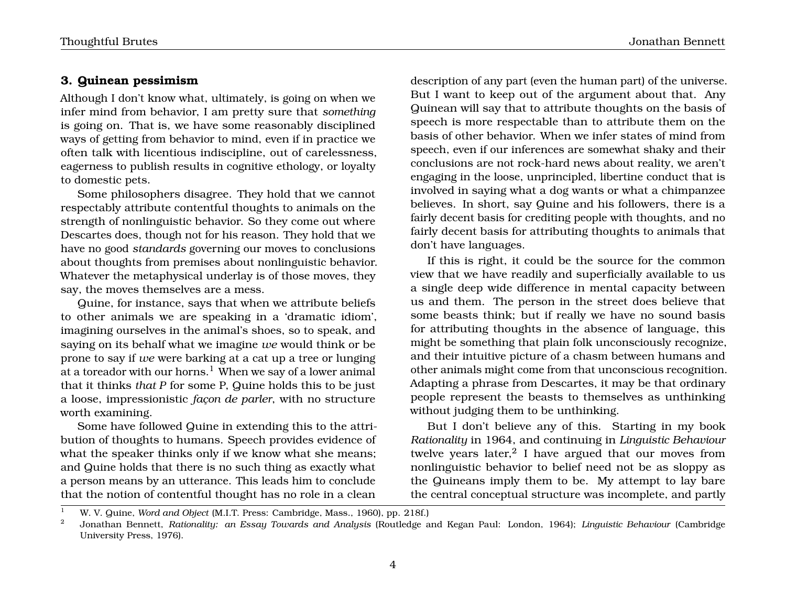## **3. Quinean pessimism**

Although I don't know what, ultimately, is going on when we infer mind from behavior, I am pretty sure that *something* is going on. That is, we have some reasonably disciplined ways of getting from behavior to mind, even if in practice we often talk with licentious indiscipline, out of carelessness, eagerness to publish results in cognitive ethology, or loyalty to domestic pets.

Some philosophers disagree. They hold that we cannot respectably attribute contentful thoughts to animals on the strength of nonlinguistic behavior. So they come out where Descartes does, though not for his reason. They hold that we have no good *standards* governing our moves to conclusions about thoughts from premises about nonlinguistic behavior. Whatever the metaphysical underlay is of those moves, they say, the moves themselves are a mess.

Quine, for instance, says that when we attribute beliefs to other animals we are speaking in a 'dramatic idiom', imagining ourselves in the animal's shoes, so to speak, and saying on its behalf what we imagine *we* would think or be prone to say if *we* were barking at a cat up a tree or lunging at a toreador with our horns.<sup>1</sup> When we say of a lower animal that it thinks *that P* for some P, Quine holds this to be just a loose, impressionistic *façon de parler*, with no structure worth examining.

Some have followed Quine in extending this to the attribution of thoughts to humans. Speech provides evidence of what the speaker thinks only if we know what she means; and Quine holds that there is no such thing as exactly what a person means by an utterance. This leads him to conclude that the notion of contentful thought has no role in a clean

description of any part (even the human part) of the universe. But I want to keep out of the argument about that. Any Quinean will say that to attribute thoughts on the basis of speech is more respectable than to attribute them on the basis of other behavior. When we infer states of mind from speech, even if our inferences are somewhat shaky and their conclusions are not rock-hard news about reality, we aren't engaging in the loose, unprincipled, libertine conduct that is involved in saying what a dog wants or what a chimpanzee believes. In short, say Quine and his followers, there is a fairly decent basis for crediting people with thoughts, and no fairly decent basis for attributing thoughts to animals that don't have languages.

If this is right, it could be the source for the common view that we have readily and superficially available to us a single deep wide difference in mental capacity between us and them. The person in the street does believe that some beasts think; but if really we have no sound basis for attributing thoughts in the absence of language, this might be something that plain folk unconsciously recognize, and their intuitive picture of a chasm between humans and other animals might come from that unconscious recognition. Adapting a phrase from Descartes, it may be that ordinary people represent the beasts to themselves as unthinking without judging them to be unthinking.

But I don't believe any of this. Starting in my book *Rationality* in 1964, and continuing in *Linguistic Behaviour* twelve years later, $^2$  I have argued that our moves from nonlinguistic behavior to belief need not be as sloppy as the Quineans imply them to be. My attempt to lay bare the central conceptual structure was incomplete, and partly

<sup>1</sup> W. V. Quine, *Word and Object* (M.I.T. Press: Cambridge, Mass., 1960), pp. 218f.)

<sup>2</sup> Jonathan Bennett, *Rationality: an Essay Towards and Analysis* (Routledge and Kegan Paul: London, 1964); *Linguistic Behaviour* (Cambridge University Press, 1976).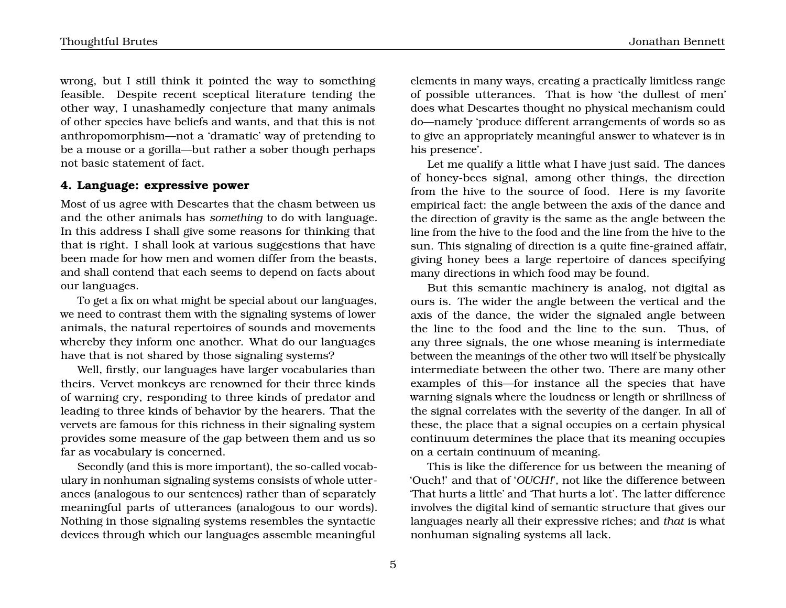wrong, but I still think it pointed the way to something feasible. Despite recent sceptical literature tending the other way, I unashamedly conjecture that many animals of other species have beliefs and wants, and that this is not anthropomorphism—not a 'dramatic' way of pretending to be a mouse or a gorilla—but rather a sober though perhaps not basic statement of fact.

## **4. Language: expressive power**

Most of us agree with Descartes that the chasm between us and the other animals has *something* to do with language. In this address I shall give some reasons for thinking that that is right. I shall look at various suggestions that have been made for how men and women differ from the beasts, and shall contend that each seems to depend on facts about our languages.

To get a fix on what might be special about our languages, we need to contrast them with the signaling systems of lower animals, the natural repertoires of sounds and movements whereby they inform one another. What do our languages have that is not shared by those signaling systems?

Well, firstly, our languages have larger vocabularies than theirs. Vervet monkeys are renowned for their three kinds of warning cry, responding to three kinds of predator and leading to three kinds of behavior by the hearers. That the vervets are famous for this richness in their signaling system provides some measure of the gap between them and us so far as vocabulary is concerned.

Secondly (and this is more important), the so-called vocabulary in nonhuman signaling systems consists of whole utterances (analogous to our sentences) rather than of separately meaningful parts of utterances (analogous to our words). Nothing in those signaling systems resembles the syntactic devices through which our languages assemble meaningful

elements in many ways, creating a practically limitless range of possible utterances. That is how 'the dullest of men' does what Descartes thought no physical mechanism could do—namely 'produce different arrangements of words so as to give an appropriately meaningful answer to whatever is in his presence'.

Let me qualify a little what I have just said. The dances of honey-bees signal, among other things, the direction from the hive to the source of food. Here is my favorite empirical fact: the angle between the axis of the dance and the direction of gravity is the same as the angle between the line from the hive to the food and the line from the hive to the sun. This signaling of direction is a quite fine-grained affair, giving honey bees a large repertoire of dances specifying many directions in which food may be found.

But this semantic machinery is analog, not digital as ours is. The wider the angle between the vertical and the axis of the dance, the wider the signaled angle between the line to the food and the line to the sun. Thus, of any three signals, the one whose meaning is intermediate between the meanings of the other two will itself be physically intermediate between the other two. There are many other examples of this—for instance all the species that have warning signals where the loudness or length or shrillness of the signal correlates with the severity of the danger. In all of these, the place that a signal occupies on a certain physical continuum determines the place that its meaning occupies on a certain continuum of meaning.

This is like the difference for us between the meaning of 'Ouch!' and that of '*OUCH!*', not like the difference between 'That hurts a little' and 'That hurts a lot'. The latter difference involves the digital kind of semantic structure that gives our languages nearly all their expressive riches; and *that* is what nonhuman signaling systems all lack.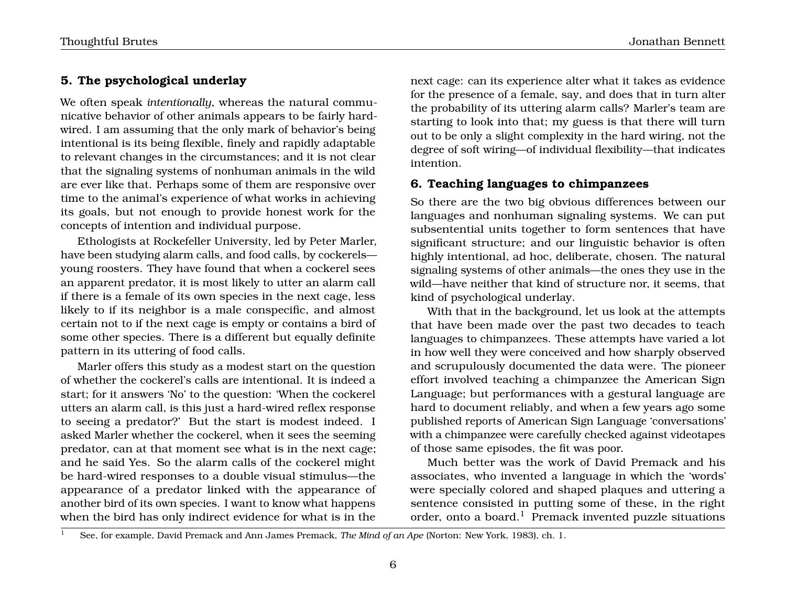# **5. The psychological underlay**

We often speak *intentionally*, whereas the natural communicative behavior of other animals appears to be fairly hardwired. I am assuming that the only mark of behavior's being intentional is its being flexible, finely and rapidly adaptable to relevant changes in the circumstances; and it is not clear that the signaling systems of nonhuman animals in the wild are ever like that. Perhaps some of them are responsive over time to the animal's experience of what works in achieving its goals, but not enough to provide honest work for the concepts of intention and individual purpose.

Ethologists at Rockefeller University, led by Peter Marler, have been studying alarm calls, and food calls, by cockerels young roosters. They have found that when a cockerel sees an apparent predator, it is most likely to utter an alarm call if there is a female of its own species in the next cage, less likely to if its neighbor is a male conspecific, and almost certain not to if the next cage is empty or contains a bird of some other species. There is a different but equally definite pattern in its uttering of food calls.

Marler offers this study as a modest start on the question of whether the cockerel's calls are intentional. It is indeed a start; for it answers 'No' to the question: 'When the cockerel utters an alarm call, is this just a hard-wired reflex response to seeing a predator?' But the start is modest indeed. I asked Marler whether the cockerel, when it sees the seeming predator, can at that moment see what is in the next cage; and he said Yes. So the alarm calls of the cockerel might be hard-wired responses to a double visual stimulus—the appearance of a predator linked with the appearance of another bird of its own species. I want to know what happens when the bird has only indirect evidence for what is in the

next cage: can its experience alter what it takes as evidence for the presence of a female, say, and does that in turn alter the probability of its uttering alarm calls? Marler's team are starting to look into that; my guess is that there will turn out to be only a slight complexity in the hard wiring, not the degree of soft wiring—of individual flexibility—that indicates intention.

# **6. Teaching languages to chimpanzees**

So there are the two big obvious differences between our languages and nonhuman signaling systems. We can put subsentential units together to form sentences that have significant structure; and our linguistic behavior is often highly intentional, ad hoc, deliberate, chosen. The natural signaling systems of other animals—the ones they use in the wild—have neither that kind of structure nor, it seems, that kind of psychological underlay.

With that in the background, let us look at the attempts that have been made over the past two decades to teach languages to chimpanzees. These attempts have varied a lot in how well they were conceived and how sharply observed and scrupulously documented the data were. The pioneer effort involved teaching a chimpanzee the American Sign Language; but performances with a gestural language are hard to document reliably, and when a few years ago some published reports of American Sign Language 'conversations' with a chimpanzee were carefully checked against videotapes of those same episodes, the fit was poor.

Much better was the work of David Premack and his associates, who invented a language in which the 'words' were specially colored and shaped plaques and uttering a sentence consisted in putting some of these, in the right order, onto a board.<sup>1</sup> Premack invented puzzle situations

<sup>1</sup> See, for example, David Premack and Ann James Premack, *The Mind of an Ape* (Norton: New York, 1983), ch. 1.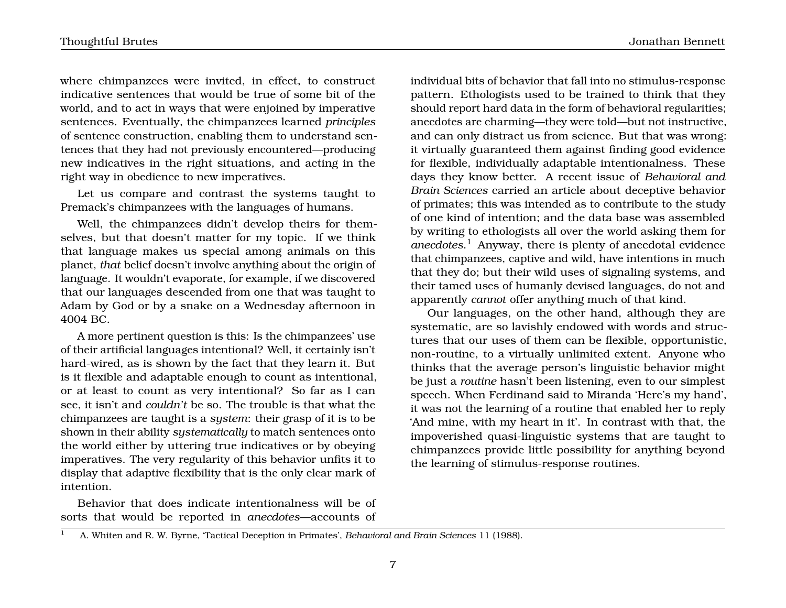Thoughtful Brutes Jonathan Bennett

where chimpanzees were invited, in effect, to construct indicative sentences that would be true of some bit of the world, and to act in ways that were enjoined by imperative sentences. Eventually, the chimpanzees learned *principles* of sentence construction, enabling them to understand sentences that they had not previously encountered—producing new indicatives in the right situations, and acting in the right way in obedience to new imperatives.

Let us compare and contrast the systems taught to Premack's chimpanzees with the languages of humans.

Well, the chimpanzees didn't develop theirs for themselves, but that doesn't matter for my topic. If we think that language makes us special among animals on this planet, *that* belief doesn't involve anything about the origin of language. It wouldn't evaporate, for example, if we discovered that our languages descended from one that was taught to Adam by God or by a snake on a Wednesday afternoon in 4004 BC.

A more pertinent question is this: Is the chimpanzees' use of their artificial languages intentional? Well, it certainly isn't hard-wired, as is shown by the fact that they learn it. But is it flexible and adaptable enough to count as intentional, or at least to count as very intentional? So far as I can see, it isn't and *couldn't* be so. The trouble is that what the chimpanzees are taught is a *system*: their grasp of it is to be shown in their ability *systematically* to match sentences onto the world either by uttering true indicatives or by obeying imperatives. The very regularity of this behavior unfits it to display that adaptive flexibility that is the only clear mark of intention.

Behavior that does indicate intentionalness will be of sorts that would be reported in *anecdotes*—accounts of individual bits of behavior that fall into no stimulus-response pattern. Ethologists used to be trained to think that they should report hard data in the form of behavioral regularities; anecdotes are charming—they were told—but not instructive, and can only distract us from science. But that was wrong: it virtually guaranteed them against finding good evidence for flexible, individually adaptable intentionalness. These days they know better. A recent issue of *Behavioral and Brain Sciences* carried an article about deceptive behavior of primates; this was intended as to contribute to the study of one kind of intention; and the data base was assembled by writing to ethologists all over the world asking them for *anecdotes*. <sup>1</sup> Anyway, there is plenty of anecdotal evidence that chimpanzees, captive and wild, have intentions in much that they do; but their wild uses of signaling systems, and their tamed uses of humanly devised languages, do not and apparently *cannot* offer anything much of that kind.

Our languages, on the other hand, although they are systematic, are so lavishly endowed with words and structures that our uses of them can be flexible, opportunistic, non-routine, to a virtually unlimited extent. Anyone who thinks that the average person's linguistic behavior might be just a *routine* hasn't been listening, even to our simplest speech. When Ferdinand said to Miranda 'Here's my hand', it was not the learning of a routine that enabled her to reply 'And mine, with my heart in it'. In contrast with that, the impoverished quasi-linguistic systems that are taught to chimpanzees provide little possibility for anything beyond the learning of stimulus-response routines.

<sup>1</sup> A. Whiten and R. W. Byrne, 'Tactical Deception in Primates', *Behavioral and Brain Sciences* 11 (1988).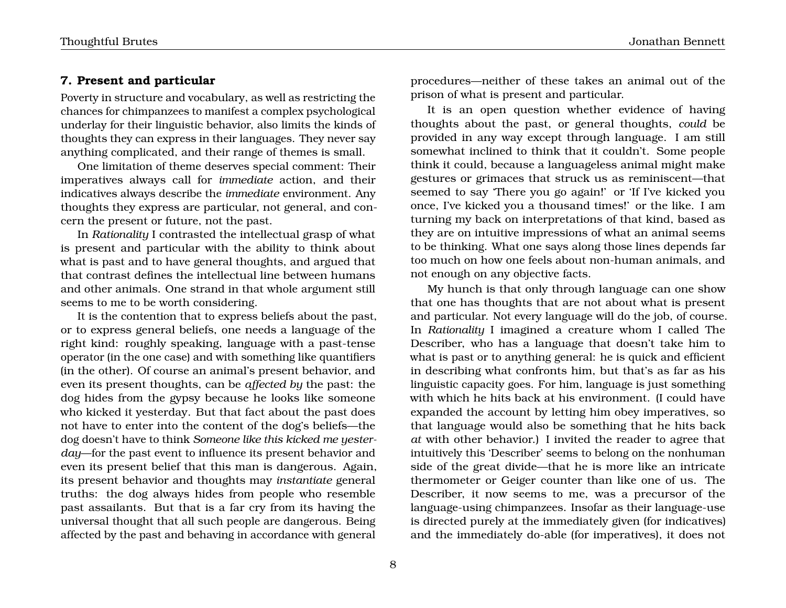## **7. Present and particular**

Poverty in structure and vocabulary, as well as restricting the chances for chimpanzees to manifest a complex psychological underlay for their linguistic behavior, also limits the kinds of thoughts they can express in their languages. They never say anything complicated, and their range of themes is small.

One limitation of theme deserves special comment: Their imperatives always call for *immediate* action, and their indicatives always describe the *immediate* environment. Any thoughts they express are particular, not general, and concern the present or future, not the past.

In *Rationality* I contrasted the intellectual grasp of what is present and particular with the ability to think about what is past and to have general thoughts, and argued that that contrast defines the intellectual line between humans and other animals. One strand in that whole argument still seems to me to be worth considering.

It is the contention that to express beliefs about the past, or to express general beliefs, one needs a language of the right kind: roughly speaking, language with a past-tense operator (in the one case) and with something like quantifiers (in the other). Of course an animal's present behavior, and even its present thoughts, can be *affected by* the past: the dog hides from the gypsy because he looks like someone who kicked it yesterday. But that fact about the past does not have to enter into the content of the dog's beliefs—the dog doesn't have to think *Someone like this kicked me yesterday*—for the past event to influence its present behavior and even its present belief that this man is dangerous. Again, its present behavior and thoughts may *instantiate* general truths: the dog always hides from people who resemble past assailants. But that is a far cry from its having the universal thought that all such people are dangerous. Being affected by the past and behaving in accordance with general procedures—neither of these takes an animal out of the prison of what is present and particular.

It is an open question whether evidence of having thoughts about the past, or general thoughts, *could* be provided in any way except through language. I am still somewhat inclined to think that it couldn't. Some people think it could, because a languageless animal might make gestures or grimaces that struck us as reminiscent—that seemed to say 'There you go again!' or 'If I've kicked you once, I've kicked you a thousand times!' or the like. I am turning my back on interpretations of that kind, based as they are on intuitive impressions of what an animal seems to be thinking. What one says along those lines depends far too much on how one feels about non-human animals, and not enough on any objective facts.

My hunch is that only through language can one show that one has thoughts that are not about what is present and particular. Not every language will do the job, of course. In *Rationality* I imagined a creature whom I called The Describer, who has a language that doesn't take him to what is past or to anything general: he is quick and efficient in describing what confronts him, but that's as far as his linguistic capacity goes. For him, language is just something with which he hits back at his environment. (I could have expanded the account by letting him obey imperatives, so that language would also be something that he hits back *at* with other behavior.) I invited the reader to agree that intuitively this 'Describer' seems to belong on the nonhuman side of the great divide—that he is more like an intricate thermometer or Geiger counter than like one of us. The Describer, it now seems to me, was a precursor of the language-using chimpanzees. Insofar as their language-use is directed purely at the immediately given (for indicatives) and the immediately do-able (for imperatives), it does not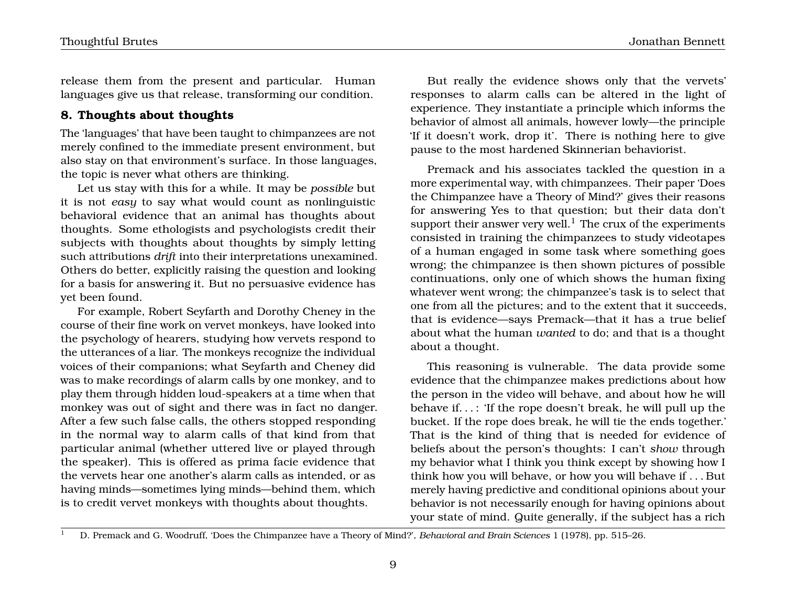release them from the present and particular. Human languages give us that release, transforming our condition.

## **8. Thoughts about thoughts**

The 'languages' that have been taught to chimpanzees are not merely confined to the immediate present environment, but also stay on that environment's surface. In those languages, the topic is never what others are thinking.

Let us stay with this for a while. It may be *possible* but it is not *easy* to say what would count as nonlinguistic behavioral evidence that an animal has thoughts about thoughts. Some ethologists and psychologists credit their subjects with thoughts about thoughts by simply letting such attributions *drift* into their interpretations unexamined. Others do better, explicitly raising the question and looking for a basis for answering it. But no persuasive evidence has yet been found.

For example, Robert Seyfarth and Dorothy Cheney in the course of their fine work on vervet monkeys, have looked into the psychology of hearers, studying how vervets respond to the utterances of a liar. The monkeys recognize the individual voices of their companions; what Seyfarth and Cheney did was to make recordings of alarm calls by one monkey, and to play them through hidden loud-speakers at a time when that monkey was out of sight and there was in fact no danger. After a few such false calls, the others stopped responding in the normal way to alarm calls of that kind from that particular animal (whether uttered live or played through the speaker). This is offered as prima facie evidence that the vervets hear one another's alarm calls as intended, or as having minds—sometimes lying minds—behind them, which is to credit vervet monkeys with thoughts about thoughts.

But really the evidence shows only that the vervets' responses to alarm calls can be altered in the light of experience. They instantiate a principle which informs the behavior of almost all animals, however lowly—the principle 'If it doesn't work, drop it'. There is nothing here to give pause to the most hardened Skinnerian behaviorist.

Premack and his associates tackled the question in a more experimental way, with chimpanzees. Their paper 'Does the Chimpanzee have a Theory of Mind?' gives their reasons for answering Yes to that question; but their data don't support their answer very well.<sup>1</sup> The crux of the experiments consisted in training the chimpanzees to study videotapes of a human engaged in some task where something goes wrong; the chimpanzee is then shown pictures of possible continuations, only one of which shows the human fixing whatever went wrong; the chimpanzee's task is to select that one from all the pictures; and to the extent that it succeeds, that is evidence—says Premack—that it has a true belief about what the human *wanted* to do; and that is a thought about a thought.

This reasoning is vulnerable. The data provide some evidence that the chimpanzee makes predictions about how the person in the video will behave, and about how he will behave if. . . : 'If the rope doesn't break, he will pull up the bucket. If the rope does break, he will tie the ends together.' That is the kind of thing that is needed for evidence of beliefs about the person's thoughts: I can't *show* through my behavior what I think you think except by showing how I think how you will behave, or how you will behave if . . . But merely having predictive and conditional opinions about your behavior is not necessarily enough for having opinions about your state of mind. Quite generally, if the subject has a rich

<sup>1</sup> D. Premack and G. Woodruff, 'Does the Chimpanzee have a Theory of Mind?', *Behavioral and Brain Sciences* 1 (1978), pp. 515–26.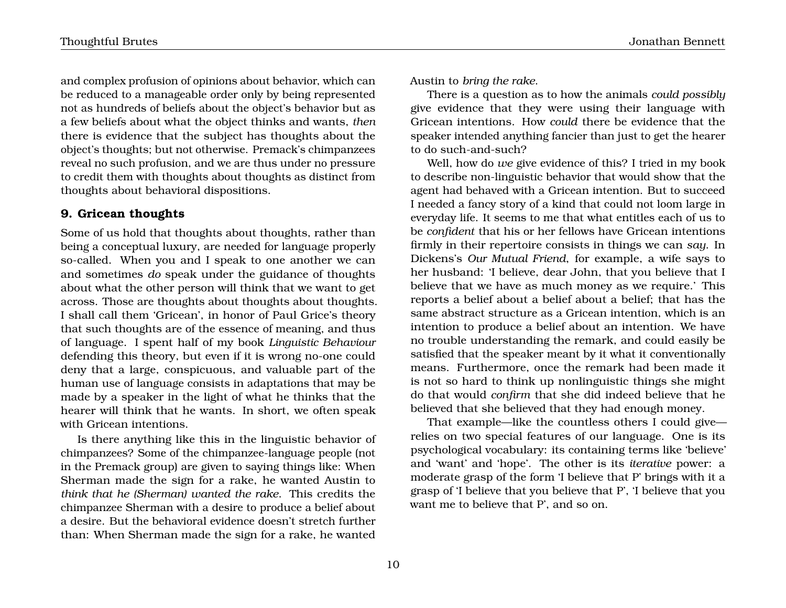and complex profusion of opinions about behavior, which can be reduced to a manageable order only by being represented not as hundreds of beliefs about the object's behavior but as a few beliefs about what the object thinks and wants, *then* there is evidence that the subject has thoughts about the object's thoughts; but not otherwise. Premack's chimpanzees reveal no such profusion, and we are thus under no pressure to credit them with thoughts about thoughts as distinct from thoughts about behavioral dispositions.

## **9. Gricean thoughts**

Some of us hold that thoughts about thoughts, rather than being a conceptual luxury, are needed for language properly so-called. When you and I speak to one another we can and sometimes *do* speak under the guidance of thoughts about what the other person will think that we want to get across. Those are thoughts about thoughts about thoughts. I shall call them 'Gricean', in honor of Paul Grice's theory that such thoughts are of the essence of meaning, and thus of language. I spent half of my book *Linguistic Behaviour* defending this theory, but even if it is wrong no-one could deny that a large, conspicuous, and valuable part of the human use of language consists in adaptations that may be made by a speaker in the light of what he thinks that the hearer will think that he wants. In short, we often speak with Gricean intentions.

Is there anything like this in the linguistic behavior of chimpanzees? Some of the chimpanzee-language people (not in the Premack group) are given to saying things like: When Sherman made the sign for a rake, he wanted Austin to *think that he (Sherman) wanted the rake*. This credits the chimpanzee Sherman with a desire to produce a belief about a desire. But the behavioral evidence doesn't stretch further than: When Sherman made the sign for a rake, he wanted Austin to *bring the rake*.

There is a question as to how the animals *could possibly* give evidence that they were using their language with Gricean intentions. How *could* there be evidence that the speaker intended anything fancier than just to get the hearer to do such-and-such?

Well, how do *we* give evidence of this? I tried in my book to describe non-linguistic behavior that would show that the agent had behaved with a Gricean intention. But to succeed I needed a fancy story of a kind that could not loom large in everyday life. It seems to me that what entitles each of us to be *confident* that his or her fellows have Gricean intentions firmly in their repertoire consists in things we can *say*. In Dickens's *Our Mutual Friend*, for example, a wife says to her husband: 'I believe, dear John, that you believe that I believe that we have as much money as we require.' This reports a belief about a belief about a belief; that has the same abstract structure as a Gricean intention, which is an intention to produce a belief about an intention. We have no trouble understanding the remark, and could easily be satisfied that the speaker meant by it what it conventionally means. Furthermore, once the remark had been made it is not so hard to think up nonlinguistic things she might do that would *confirm* that she did indeed believe that he believed that she believed that they had enough money.

That example—like the countless others I could give relies on two special features of our language. One is its psychological vocabulary: its containing terms like 'believe' and 'want' and 'hope'. The other is its *iterative* power: a moderate grasp of the form 'I believe that P' brings with it a grasp of 'I believe that you believe that P', 'I believe that you want me to believe that P', and so on.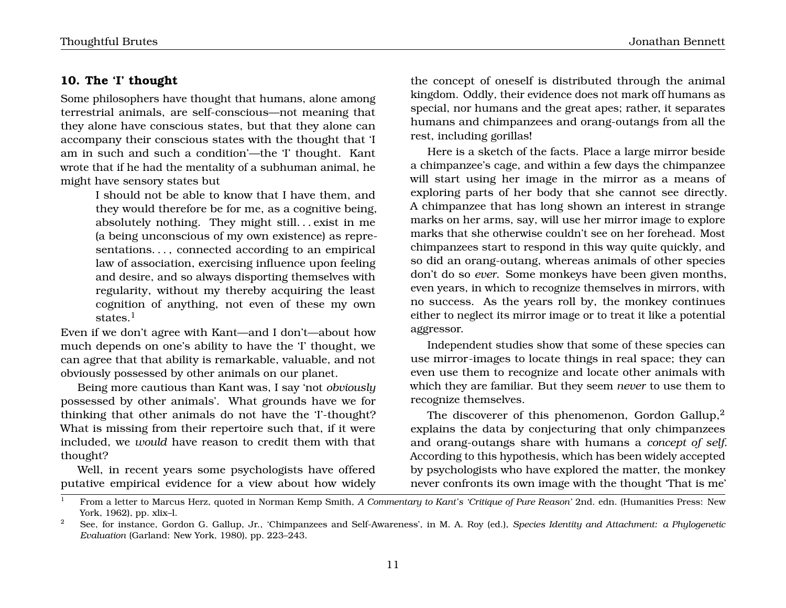## **10. The 'I' thought**

Some philosophers have thought that humans, alone among terrestrial animals, are self-conscious—not meaning that they alone have conscious states, but that they alone can accompany their conscious states with the thought that 'I am in such and such a condition'—the 'I' thought. Kant wrote that if he had the mentality of a subhuman animal, he might have sensory states but

> I should not be able to know that I have them, and they would therefore be for me, as a cognitive being, absolutely nothing. They might still. . . exist in me (a being unconscious of my own existence) as representations. . . , connected according to an empirical law of association, exercising influence upon feeling and desire, and so always disporting themselves with regularity, without my thereby acquiring the least cognition of anything, not even of these my own states.<sup>1</sup>

Even if we don't agree with Kant—and I don't—about how much depends on one's ability to have the 'I' thought, we can agree that that ability is remarkable, valuable, and not obviously possessed by other animals on our planet.

Being more cautious than Kant was, I say 'not *obviously* possessed by other animals'. What grounds have we for thinking that other animals do not have the 'I'-thought? What is missing from their repertoire such that, if it were included, we *would* have reason to credit them with that thought?

Well, in recent years some psychologists have offered putative empirical evidence for a view about how widely

the concept of oneself is distributed through the animal kingdom. Oddly, their evidence does not mark off humans as special, nor humans and the great apes; rather, it separates humans and chimpanzees and orang-outangs from all the rest, including gorillas!

Here is a sketch of the facts. Place a large mirror beside a chimpanzee's cage, and within a few days the chimpanzee will start using her image in the mirror as a means of exploring parts of her body that she cannot see directly. A chimpanzee that has long shown an interest in strange marks on her arms, say, will use her mirror image to explore marks that she otherwise couldn't see on her forehead. Most chimpanzees start to respond in this way quite quickly, and so did an orang-outang, whereas animals of other species don't do so *ever*. Some monkeys have been given months, even years, in which to recognize themselves in mirrors, with no success. As the years roll by, the monkey continues either to neglect its mirror image or to treat it like a potential aggressor.

Independent studies show that some of these species can use mirror-images to locate things in real space; they can even use them to recognize and locate other animals with which they are familiar. But they seem *never* to use them to recognize themselves.

The discoverer of this phenomenon, Gordon Gallup, $^2$ explains the data by conjecturing that only chimpanzees and orang-outangs share with humans a *concept of self*. According to this hypothesis, which has been widely accepted by psychologists who have explored the matter, the monkey never confronts its own image with the thought 'That is me'

<sup>1</sup> From a letter to Marcus Herz, quoted in Norman Kemp Smith, *A Commentary to Kant's 'Critique of Pure Reason'* 2nd. edn. (Humanities Press: New York, 1962), pp. xlix–l.

<sup>2</sup> See, for instance, Gordon G. Gallup, Jr., 'Chimpanzees and Self-Awareness', in M. A. Roy (ed.), *Species Identity and Attachment: a Phylogenetic Evaluation* (Garland: New York, 1980), pp. 223–243.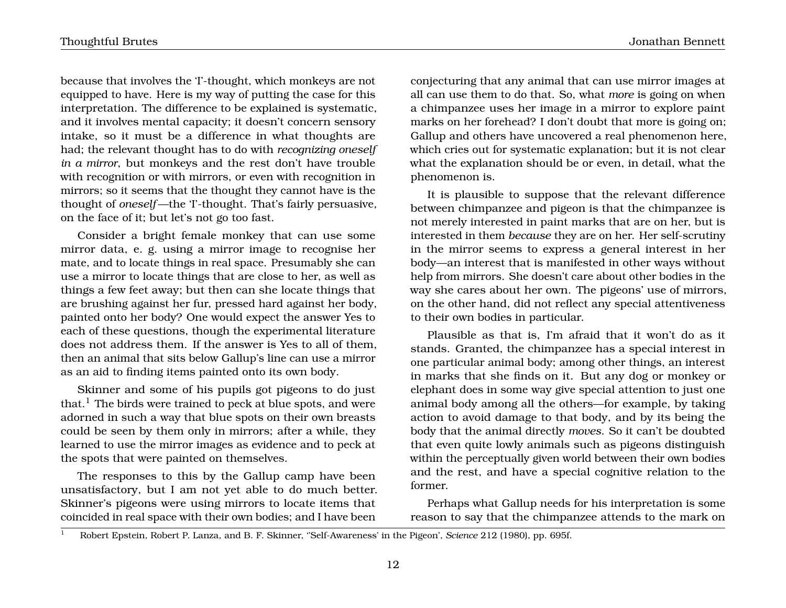Thoughtful Brutes Jonathan Bennett

because that involves the 'I'-thought, which monkeys are not equipped to have. Here is my way of putting the case for this interpretation. The difference to be explained is systematic, and it involves mental capacity; it doesn't concern sensory intake, so it must be a difference in what thoughts are had; the relevant thought has to do with *recognizing oneself in a mirror*, but monkeys and the rest don't have trouble with recognition or with mirrors, or even with recognition in mirrors; so it seems that the thought they cannot have is the thought of *oneself* —the 'I'-thought. That's fairly persuasive, on the face of it; but let's not go too fast.

Consider a bright female monkey that can use some mirror data, e. g. using a mirror image to recognise her mate, and to locate things in real space. Presumably she can use a mirror to locate things that are close to her, as well as things a few feet away; but then can she locate things that are brushing against her fur, pressed hard against her body, painted onto her body? One would expect the answer Yes to each of these questions, though the experimental literature does not address them. If the answer is Yes to all of them, then an animal that sits below Gallup's line can use a mirror as an aid to finding items painted onto its own body.

Skinner and some of his pupils got pigeons to do just that.<sup>1</sup> The birds were trained to peck at blue spots, and were adorned in such a way that blue spots on their own breasts could be seen by them only in mirrors; after a while, they learned to use the mirror images as evidence and to peck at the spots that were painted on themselves.

The responses to this by the Gallup camp have been unsatisfactory, but I am not yet able to do much better. Skinner's pigeons were using mirrors to locate items that coincided in real space with their own bodies; and I have been conjecturing that any animal that can use mirror images at all can use them to do that. So, what *more* is going on when a chimpanzee uses her image in a mirror to explore paint marks on her forehead? I don't doubt that more is going on; Gallup and others have uncovered a real phenomenon here, which cries out for systematic explanation; but it is not clear what the explanation should be or even, in detail, what the phenomenon is.

It is plausible to suppose that the relevant difference between chimpanzee and pigeon is that the chimpanzee is not merely interested in paint marks that are on her, but is interested in them *because* they are on her. Her self-scrutiny in the mirror seems to express a general interest in her body—an interest that is manifested in other ways without help from mirrors. She doesn't care about other bodies in the way she cares about her own. The pigeons' use of mirrors, on the other hand, did not reflect any special attentiveness to their own bodies in particular.

Plausible as that is, I'm afraid that it won't do as it stands. Granted, the chimpanzee has a special interest in one particular animal body; among other things, an interest in marks that she finds on it. But any dog or monkey or elephant does in some way give special attention to just one animal body among all the others—for example, by taking action to avoid damage to that body, and by its being the body that the animal directly *moves*. So it can't be doubted that even quite lowly animals such as pigeons distinguish within the perceptually given world between their own bodies and the rest, and have a special cognitive relation to the former.

Perhaps what Gallup needs for his interpretation is some reason to say that the chimpanzee attends to the mark on

<sup>1</sup> Robert Epstein, Robert P. Lanza, and B. F. Skinner, ''Self-Awareness' in the Pigeon', *Science* 212 (1980), pp. 695f.